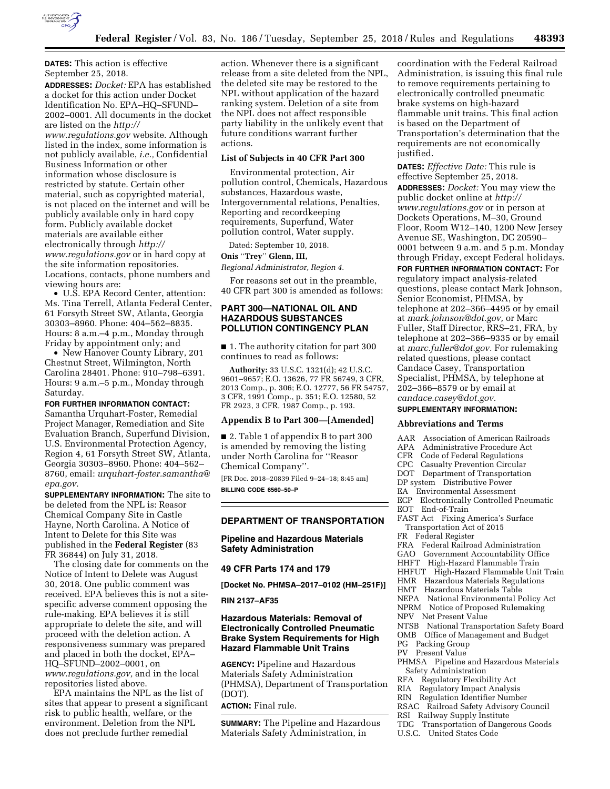

### **DATES:** This action is effective September 25, 2018.

**ADDRESSES:** *Docket:* EPA has established a docket for this action under Docket Identification No. EPA–HQ–SFUND– 2002–0001. All documents in the docket are listed on the *[http://](http://www.regulations.gov) [www.regulations.gov](http://www.regulations.gov)* website. Although listed in the index, some information is not publicly available, *i.e.,* Confidential Business Information or other information whose disclosure is restricted by statute. Certain other material, such as copyrighted material, is not placed on the internet and will be publicly available only in hard copy form. Publicly available docket materials are available either electronically through *[http://](http://www.regulations.gov) [www.regulations.gov](http://www.regulations.gov)* or in hard copy at the site information repositories. Locations, contacts, phone numbers and viewing hours are:

• U.S. EPA Record Center, attention: Ms. Tina Terrell, Atlanta Federal Center, 61 Forsyth Street SW, Atlanta, Georgia 30303–8960. Phone: 404–562–8835. Hours: 8 a.m.–4 p.m., Monday through Friday by appointment only; and

• New Hanover County Library, 201 Chestnut Street, Wilmington, North Carolina 28401. Phone: 910–798–6391. Hours: 9 a.m.–5 p.m., Monday through Saturday.

**FOR FURTHER INFORMATION CONTACT:**  Samantha Urquhart-Foster, Remedial Project Manager, Remediation and Site Evaluation Branch, Superfund Division, U.S. Environmental Protection Agency, Region 4, 61 Forsyth Street SW, Atlanta, Georgia 30303–8960. Phone: 404–562– 8760, email: *[urquhart-foster.samantha@](mailto:urquhart-foster.samantha@epa.gov) [epa.gov.](mailto:urquhart-foster.samantha@epa.gov)* 

**SUPPLEMENTARY INFORMATION:** The site to be deleted from the NPL is: Reasor Chemical Company Site in Castle Hayne, North Carolina. A Notice of Intent to Delete for this Site was published in the **Federal Register** (83 FR 36844) on July 31, 2018.

The closing date for comments on the Notice of Intent to Delete was August 30, 2018. One public comment was received. EPA believes this is not a sitespecific adverse comment opposing the rule-making. EPA believes it is still appropriate to delete the site, and will proceed with the deletion action. A responsiveness summary was prepared and placed in both the docket, EPA– HQ–SFUND–2002–0001, on *[www.regulations.gov,](http://www.regulations.gov)* and in the local repositories listed above.

EPA maintains the NPL as the list of sites that appear to present a significant risk to public health, welfare, or the environment. Deletion from the NPL does not preclude further remedial

action. Whenever there is a significant release from a site deleted from the NPL, the deleted site may be restored to the NPL without application of the hazard ranking system. Deletion of a site from the NPL does not affect responsible party liability in the unlikely event that future conditions warrant further actions.

### **List of Subjects in 40 CFR Part 300**

Environmental protection, Air pollution control, Chemicals, Hazardous substances, Hazardous waste, Intergovernmental relations, Penalties, Reporting and recordkeeping requirements, Superfund, Water pollution control, Water supply.

Dated: September 10, 2018.

### **Onis** ''**Trey**'' **Glenn, III,**

*Regional Administrator, Region 4.* 

For reasons set out in the preamble, 40 CFR part 300 is amended as follows:

### **PART 300—NATIONAL OIL AND HAZARDOUS SUBSTANCES POLLUTION CONTINGENCY PLAN**

■ 1. The authority citation for part 300 continues to read as follows:

**Authority:** 33 U.S.C. 1321(d); 42 U.S.C. 9601–9657; E.O. 13626, 77 FR 56749, 3 CFR, 2013 Comp., p. 306; E.O. 12777, 56 FR 54757, 3 CFR, 1991 Comp., p. 351; E.O. 12580, 52 FR 2923, 3 CFR, 1987 Comp., p. 193.

### **Appendix B to Part 300—[Amended]**

■ 2. Table 1 of appendix B to part 300 is amended by removing the listing under North Carolina for ''Reasor Chemical Company''.

[FR Doc. 2018–20839 Filed 9–24–18; 8:45 am] **BILLING CODE 6560–50–P** 

### **DEPARTMENT OF TRANSPORTATION**

**Pipeline and Hazardous Materials Safety Administration** 

### **49 CFR Parts 174 and 179**

**[Docket No. PHMSA–2017–0102 (HM–251F)]** 

### **RIN 2137–AF35**

### **Hazardous Materials: Removal of Electronically Controlled Pneumatic Brake System Requirements for High Hazard Flammable Unit Trains**

**AGENCY:** Pipeline and Hazardous Materials Safety Administration (PHMSA), Department of Transportation (DOT). **ACTION:** Final rule.

**SUMMARY:** The Pipeline and Hazardous Materials Safety Administration, in

coordination with the Federal Railroad Administration, is issuing this final rule to remove requirements pertaining to electronically controlled pneumatic brake systems on high-hazard flammable unit trains. This final action is based on the Department of Transportation's determination that the requirements are not economically justified.

**DATES:** *Effective Date:* This rule is effective September 25, 2018.

**ADDRESSES:** *Docket:* You may view the public docket online at *[http://](http://www.regulations.gov) [www.regulations.gov](http://www.regulations.gov)* or in person at Dockets Operations, M–30, Ground Floor, Room W12–140, 1200 New Jersey Avenue SE, Washington, DC 20590– 0001 between 9 a.m. and 5 p.m. Monday through Friday, except Federal holidays.

**FOR FURTHER INFORMATION CONTACT:** For regulatory impact analysis-related questions, please contact Mark Johnson, Senior Economist, PHMSA, by telephone at 202–366–4495 or by email at *[mark.johnson@dot.gov,](mailto:mark.johnson@dot.gov)* or Marc Fuller, Staff Director, RRS–21, FRA, by telephone at 202–366–9335 or by email at *[marc.fuller@dot.gov.](mailto:marc.fuller@dot.gov)* For rulemaking related questions, please contact Candace Casey, Transportation Specialist, PHMSA, by telephone at 202–366–8579 or by email at *[candace.casey@dot.gov.](mailto:candace.casey@dot.gov)* 

### **SUPPLEMENTARY INFORMATION:**

### **Abbreviations and Terms**

- AAR Association of American Railroads
- APA Administrative Procedure Act
- CFR Code of Federal Regulations<br>CPC Casualty Prevention Circular
- Casualty Prevention Circular
- DOT Department of Transportation
- DP system Distributive Power
- EA Environmental Assessment
- ECP Electronically Controlled Pneumatic
- EOT End-of-Train
- FAST Act Fixing America's Surface
	- Transportation Act of 2015 FR Federal Register
	-
	- FRA Federal Railroad Administration
	- GAO Government Accountability Office<br>HHFT High-Hazard Flammable Train High-Hazard Flammable Train
	- HHFUT High-Hazard Flammable Unit Train
	-
	- HMR Hazardous Materials Regulations Hazardous Materials Table
	- NEPA National Environmental Policy Act
	- NPRM Notice of Proposed Rulemaking
	- NPV Net Present Value
	-
	- NTSB National Transportation Safety Board
	- OMB Office of Management and Budget
	- PG Packing Group
	- PV Present Value
	- PHMSA Pipeline and Hazardous Materials Safety Administration
	- RFA Regulatory Flexibility Act<br>RIA Regulatory Impact Analysis
	- Regulatory Impact Analysis
	- RIN Regulation Identifier Number
	- RSAC Railroad Safety Advisory Council
- RSI Railway Supply Institute
- TDG Transportation of Dangerous Goods
- U.S.C. United States Code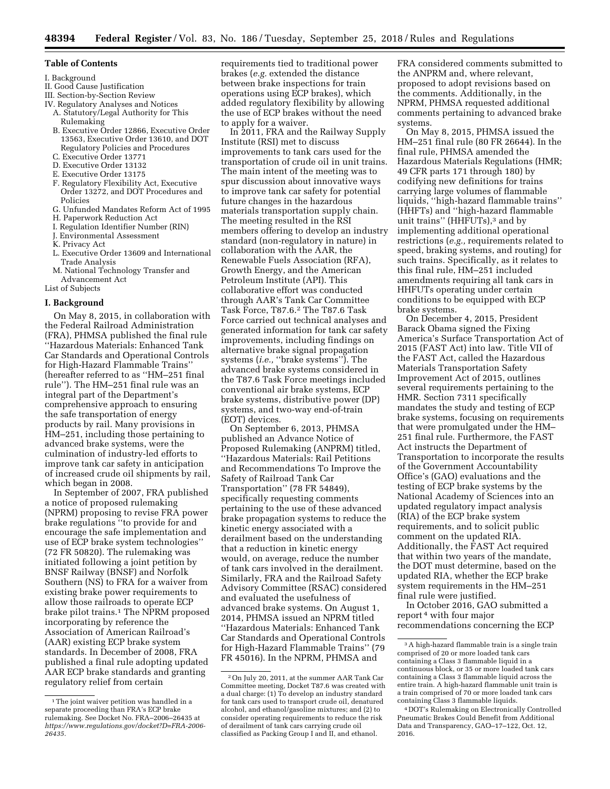### **Table of Contents**

- I. Background
- II. Good Cause Justification
- III. Section-by-Section Review
- IV. Regulatory Analyses and Notices A. Statutory/Legal Authority for This Rulemaking
	- B. Executive Order 12866, Executive Order 13563, Executive Order 13610, and DOT Regulatory Policies and Procedures
	- C. Executive Order 13771
	- D. Executive Order 13132
	- E. Executive Order 13175
	- F. Regulatory Flexibility Act, Executive Order 13272, and DOT Procedures and Policies
	- G. Unfunded Mandates Reform Act of 1995
	- H. Paperwork Reduction Act
	- I. Regulation Identifier Number (RIN)
	- J. Environmental Assessment
	- K. Privacy Act
	- L. Executive Order 13609 and International Trade Analysis
	- M. National Technology Transfer and Advancement Act

List of Subjects

### **I. Background**

On May 8, 2015, in collaboration with the Federal Railroad Administration (FRA), PHMSA published the final rule ''Hazardous Materials: Enhanced Tank Car Standards and Operational Controls for High-Hazard Flammable Trains'' (hereafter referred to as ''HM–251 final rule''). The HM–251 final rule was an integral part of the Department's comprehensive approach to ensuring the safe transportation of energy products by rail. Many provisions in HM–251, including those pertaining to advanced brake systems, were the culmination of industry-led efforts to improve tank car safety in anticipation of increased crude oil shipments by rail, which began in 2008.

In September of 2007, FRA published a notice of proposed rulemaking (NPRM) proposing to revise FRA power brake regulations ''to provide for and encourage the safe implementation and use of ECP brake system technologies'' (72 FR 50820). The rulemaking was initiated following a joint petition by BNSF Railway (BNSF) and Norfolk Southern (NS) to FRA for a waiver from existing brake power requirements to allow those railroads to operate ECP brake pilot trains.<sup>1</sup> The NPRM proposed incorporating by reference the Association of American Railroad's (AAR) existing ECP brake system standards. In December of 2008, FRA published a final rule adopting updated AAR ECP brake standards and granting regulatory relief from certain

requirements tied to traditional power brakes (*e.g.* extended the distance between brake inspections for train operations using ECP brakes), which added regulatory flexibility by allowing the use of ECP brakes without the need to apply for a waiver.

In 2011, FRA and the Railway Supply Institute (RSI) met to discuss improvements to tank cars used for the transportation of crude oil in unit trains. The main intent of the meeting was to spur discussion about innovative ways to improve tank car safety for potential future changes in the hazardous materials transportation supply chain. The meeting resulted in the RSI members offering to develop an industry standard (non-regulatory in nature) in collaboration with the AAR, the Renewable Fuels Association (RFA), Growth Energy, and the American Petroleum Institute (API). This collaborative effort was conducted through AAR's Tank Car Committee Task Force, T87.6.2 The T87.6 Task Force carried out technical analyses and generated information for tank car safety improvements, including findings on alternative brake signal propagation systems (*i.e.,* ''brake systems''). The advanced brake systems considered in the T87.6 Task Force meetings included conventional air brake systems, ECP brake systems, distributive power (DP) systems, and two-way end-of-train (EOT) devices.

On September 6, 2013, PHMSA published an Advance Notice of Proposed Rulemaking (ANPRM) titled, ''Hazardous Materials: Rail Petitions and Recommendations To Improve the Safety of Railroad Tank Car Transportation'' (78 FR 54849), specifically requesting comments pertaining to the use of these advanced brake propagation systems to reduce the kinetic energy associated with a derailment based on the understanding that a reduction in kinetic energy would, on average, reduce the number of tank cars involved in the derailment. Similarly, FRA and the Railroad Safety Advisory Committee (RSAC) considered and evaluated the usefulness of advanced brake systems. On August 1, 2014, PHMSA issued an NPRM titled ''Hazardous Materials: Enhanced Tank Car Standards and Operational Controls for High-Hazard Flammable Trains'' (79 FR 45016). In the NPRM, PHMSA and

FRA considered comments submitted to the ANPRM and, where relevant, proposed to adopt revisions based on the comments. Additionally, in the NPRM, PHMSA requested additional comments pertaining to advanced brake systems.

On May 8, 2015, PHMSA issued the HM–251 final rule (80 FR 26644). In the final rule, PHMSA amended the Hazardous Materials Regulations (HMR; 49 CFR parts 171 through 180) by codifying new definitions for trains carrying large volumes of flammable liquids, ''high-hazard flammable trains'' (HHFTs) and ''high-hazard flammable unit trains" (HHFUTs),<sup>3</sup> and by implementing additional operational restrictions (*e.g.,* requirements related to speed, braking systems, and routing) for such trains. Specifically, as it relates to this final rule, HM–251 included amendments requiring all tank cars in HHFUTs operating under certain conditions to be equipped with ECP brake systems.

On December 4, 2015, President Barack Obama signed the Fixing America's Surface Transportation Act of 2015 (FAST Act) into law. Title VII of the FAST Act, called the Hazardous Materials Transportation Safety Improvement Act of 2015, outlines several requirements pertaining to the HMR. Section 7311 specifically mandates the study and testing of ECP brake systems, focusing on requirements that were promulgated under the HM– 251 final rule. Furthermore, the FAST Act instructs the Department of Transportation to incorporate the results of the Government Accountability Office's (GAO) evaluations and the testing of ECP brake systems by the National Academy of Sciences into an updated regulatory impact analysis (RIA) of the ECP brake system requirements, and to solicit public comment on the updated RIA. Additionally, the FAST Act required that within two years of the mandate, the DOT must determine, based on the updated RIA, whether the ECP brake system requirements in the HM–251 final rule were justified.

In October 2016, GAO submitted a report 4 with four major recommendations concerning the ECP

<sup>&</sup>lt;sup>1</sup>The joint waiver petition was handled in a separate proceeding than FRA's ECP brake rulemaking. See Docket No. FRA–2006–26435 at *[https://www.regulations.gov/docket?D=FRA-2006-](https://www.regulations.gov/docket?D=FRA-2006-26435) [26435.](https://www.regulations.gov/docket?D=FRA-2006-26435)* 

<sup>2</sup>On July 20, 2011, at the summer AAR Tank Car Committee meeting, Docket T87.6 was created with a dual charge: (1) To develop an industry standard for tank cars used to transport crude oil, denatured alcohol, and ethanol/gasoline mixtures; and (2) to consider operating requirements to reduce the risk of derailment of tank cars carrying crude oil classified as Packing Group I and II, and ethanol.

 $^{\rm 3}$  A high-hazard flammable train is a single train comprised of 20 or more loaded tank cars containing a Class 3 flammable liquid in a continuous block, or 35 or more loaded tank cars containing a Class 3 flammable liquid across the entire train. A high-hazard flammable unit train is a train comprised of 70 or more loaded tank cars containing Class 3 flammable liquids.

<sup>4</sup> DOT's Rulemaking on Electronically Controlled Pneumatic Brakes Could Benefit from Additional Data and Transparency, GAO–17–122, Oct. 12, 2016.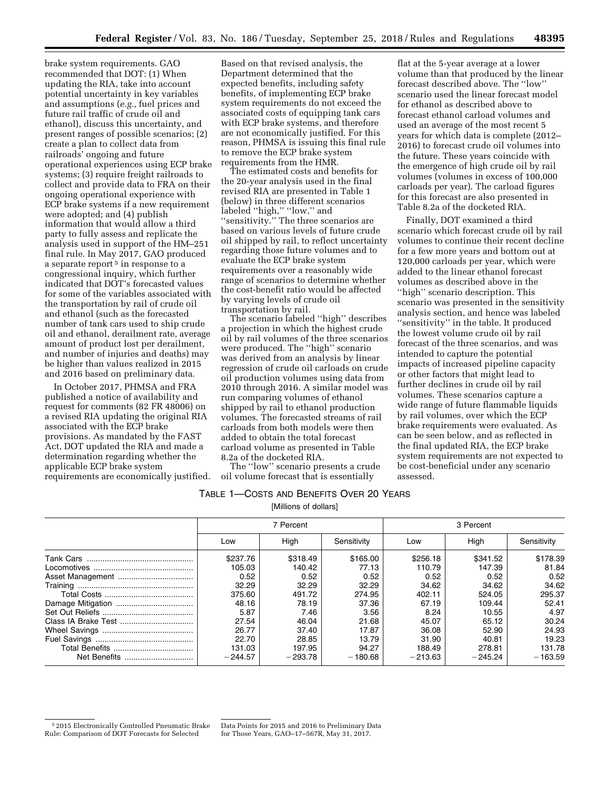brake system requirements. GAO recommended that DOT: (1) When updating the RIA, take into account potential uncertainty in key variables and assumptions (*e.g.,* fuel prices and future rail traffic of crude oil and ethanol), discuss this uncertainty, and present ranges of possible scenarios; (2) create a plan to collect data from railroads' ongoing and future operational experiences using ECP brake systems; (3) require freight railroads to collect and provide data to FRA on their ongoing operational experience with ECP brake systems if a new requirement were adopted; and (4) publish information that would allow a third party to fully assess and replicate the analysis used in support of the HM–251 final rule. In May 2017, GAO produced a separate report<sup>5</sup> in response to a congressional inquiry, which further indicated that DOT's forecasted values for some of the variables associated with the transportation by rail of crude oil and ethanol (such as the forecasted number of tank cars used to ship crude oil and ethanol, derailment rate, average amount of product lost per derailment, and number of injuries and deaths) may be higher than values realized in 2015 and 2016 based on preliminary data.

In October 2017, PHMSA and FRA published a notice of availability and request for comments (82 FR 48006) on a revised RIA updating the original RIA associated with the ECP brake provisions. As mandated by the FAST Act, DOT updated the RIA and made a determination regarding whether the applicable ECP brake system requirements are economically justified.

Based on that revised analysis, the Department determined that the expected benefits, including safety benefits, of implementing ECP brake system requirements do not exceed the associated costs of equipping tank cars with ECP brake systems, and therefore are not economically justified. For this reason, PHMSA is issuing this final rule to remove the ECP brake system requirements from the HMR.

The estimated costs and benefits for the 20-year analysis used in the final revised RIA are presented in Table 1 (below) in three different scenarios labeled ''high,'' ''low,'' and ''sensitivity.'' The three scenarios are based on various levels of future crude oil shipped by rail, to reflect uncertainty regarding those future volumes and to evaluate the ECP brake system requirements over a reasonably wide range of scenarios to determine whether the cost-benefit ratio would be affected by varying levels of crude oil transportation by rail.

The scenario labeled ''high'' describes a projection in which the highest crude oil by rail volumes of the three scenarios were produced. The "high" scenario was derived from an analysis by linear regression of crude oil carloads on crude oil production volumes using data from 2010 through 2016. A similar model was run comparing volumes of ethanol shipped by rail to ethanol production volumes. The forecasted streams of rail carloads from both models were then added to obtain the total forecast carload volume as presented in Table 8.2a of the docketed RIA.

The ''low'' scenario presents a crude oil volume forecast that is essentially

flat at the 5-year average at a lower volume than that produced by the linear forecast described above. The ''low'' scenario used the linear forecast model for ethanol as described above to forecast ethanol carload volumes and used an average of the most recent 5 years for which data is complete (2012– 2016) to forecast crude oil volumes into the future. These years coincide with the emergence of high crude oil by rail volumes (volumes in excess of 100,000 carloads per year). The carload figures for this forecast are also presented in Table 8.2a of the docketed RIA.

Finally, DOT examined a third scenario which forecast crude oil by rail volumes to continue their recent decline for a few more years and bottom out at 120,000 carloads per year, which were added to the linear ethanol forecast volumes as described above in the ''high'' scenario description. This scenario was presented in the sensitivity analysis section, and hence was labeled ''sensitivity'' in the table. It produced the lowest volume crude oil by rail forecast of the three scenarios, and was intended to capture the potential impacts of increased pipeline capacity or other factors that might lead to further declines in crude oil by rail volumes. These scenarios capture a wide range of future flammable liquids by rail volumes, over which the ECP brake requirements were evaluated. As can be seen below, and as reflected in the final updated RIA, the ECP brake system requirements are not expected to be cost-beneficial under any scenario assessed.

# TABLE 1—COSTS AND BENEFITS OVER 20 YEARS

[Millions of dollars]

| 7 Percent |           |             | 3 Percent |           |             |
|-----------|-----------|-------------|-----------|-----------|-------------|
| Low       | High      | Sensitivity | Low       | High      | Sensitivity |
| \$237.76  | \$318.49  | \$165.00    | \$256.18  | \$341.52  | \$178.39    |
| 105.03    | 140.42    | 77.13       | 110.79    | 147.39    | 81.84       |
| 0.52      | 0.52      | 0.52        | 0.52      | 0.52      | 0.52        |
| 32.29     | 32.29     | 32.29       | 34.62     | 34.62     | 34.62       |
| 375.60    | 491.72    | 274.95      | 402.11    | 524.05    | 295.37      |
| 48.16     | 78.19     | 37.36       | 67.19     | 109.44    | 52.41       |
| 5.87      | 7.46      | 3.56        | 8.24      | 10.55     | 4.97        |
| 27.54     | 46.04     | 21.68       | 45.07     | 65.12     | 30.24       |
| 26.77     | 37.40     | 17.87       | 36.08     | 52.90     | 24.93       |
| 22.70     | 28.85     | 13.79       | 31.90     | 40.81     | 19.23       |
| 131.03    | 197.95    | 94.27       | 188.49    | 278.81    | 131.78      |
| $-244.57$ | $-293.78$ | $-180.68$   | $-213.63$ | $-245.24$ | $-163.59$   |

<sup>5</sup> 2015 Electronically Controlled Pneumatic Brake Rule: Comparison of DOT Forecasts for Selected

Data Points for 2015 and 2016 to Preliminary Data for Those Years, GAO–17–567R, May 31, 2017.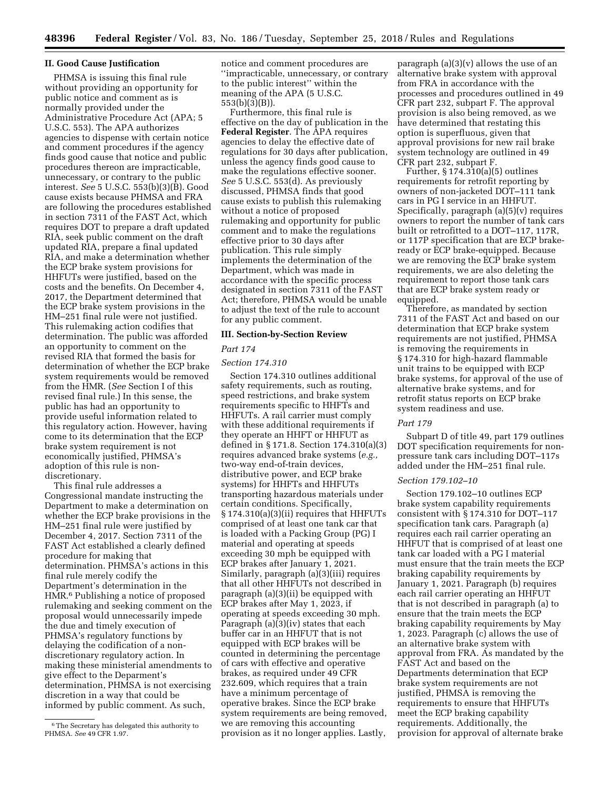### **II. Good Cause Justification**

PHMSA is issuing this final rule without providing an opportunity for public notice and comment as is normally provided under the Administrative Procedure Act (APA; 5 U.S.C. 553). The APA authorizes agencies to dispense with certain notice and comment procedures if the agency finds good cause that notice and public procedures thereon are impracticable, unnecessary, or contrary to the public interest. *See* 5 U.S.C. 553(b)(3)(B). Good cause exists because PHMSA and FRA are following the procedures established in section 7311 of the FAST Act, which requires DOT to prepare a draft updated RIA, seek public comment on the draft updated RIA, prepare a final updated RIA, and make a determination whether the ECP brake system provisions for HHFUTs were justified, based on the costs and the benefits. On December 4, 2017, the Department determined that the ECP brake system provisions in the HM–251 final rule were not justified. This rulemaking action codifies that determination. The public was afforded an opportunity to comment on the revised RIA that formed the basis for determination of whether the ECP brake system requirements would be removed from the HMR. (*See* Section I of this revised final rule.) In this sense, the public has had an opportunity to provide useful information related to this regulatory action. However, having come to its determination that the ECP brake system requirement is not economically justified, PHMSA's adoption of this rule is nondiscretionary.

This final rule addresses a Congressional mandate instructing the Department to make a determination on whether the ECP brake provisions in the HM–251 final rule were justified by December 4, 2017. Section 7311 of the FAST Act established a clearly defined procedure for making that determination. PHMSA's actions in this final rule merely codify the Department's determination in the HMR.6 Publishing a notice of proposed rulemaking and seeking comment on the proposal would unnecessarily impede the due and timely execution of PHMSA's regulatory functions by delaying the codification of a nondiscretionary regulatory action. In making these ministerial amendments to give effect to the Deparment's determination, PHMSA is not exercising discretion in a way that could be informed by public comment. As such,

notice and comment procedures are ''impracticable, unnecessary, or contrary to the public interest'' within the meaning of the APA (5 U.S.C. 553(b)(3)(B)).

Furthermore, this final rule is effective on the day of publication in the **Federal Register**. The APA requires agencies to delay the effective date of regulations for 30 days after publication, unless the agency finds good cause to make the regulations effective sooner. *See* 5 U.S.C. 553(d). As previously discussed, PHMSA finds that good cause exists to publish this rulemaking without a notice of proposed rulemaking and opportunity for public comment and to make the regulations effective prior to 30 days after publication. This rule simply implements the determination of the Department, which was made in accordance with the specific process designated in section 7311 of the FAST Act; therefore, PHMSA would be unable to adjust the text of the rule to account for any public comment.

### **III. Section-by-Section Review**

### *Part 174*

### *Section 174.310*

Section 174.310 outlines additional safety requirements, such as routing, speed restrictions, and brake system requirements specific to HHFTs and HHFUTs. A rail carrier must comply with these additional requirements if they operate an HHFT or HHFUT as defined in § 171.8. Section 174.310(a)(3) requires advanced brake systems (*e.g.,*  two-way end-of-train devices, distributive power, and ECP brake systems) for HHFTs and HHFUTs transporting hazardous materials under certain conditions. Specifically, § 174.310(a)(3)(ii) requires that HHFUTs comprised of at least one tank car that is loaded with a Packing Group (PG) I material and operating at speeds exceeding 30 mph be equipped with ECP brakes after January 1, 2021. Similarly, paragraph (a)(3)(iii) requires that all other HHFUTs not described in paragraph (a)(3)(ii) be equipped with ECP brakes after May 1, 2023, if operating at speeds exceeding 30 mph. Paragraph  $(a)(3)(iv)$  states that each buffer car in an HHFUT that is not equipped with ECP brakes will be counted in determining the percentage of cars with effective and operative brakes, as required under 49 CFR 232.609, which requires that a train have a minimum percentage of operative brakes. Since the ECP brake system requirements are being removed, we are removing this accounting provision as it no longer applies. Lastly,

paragraph (a)(3)(v) allows the use of an alternative brake system with approval from FRA in accordance with the processes and procedures outlined in 49 CFR part 232, subpart F. The approval provision is also being removed, as we have determined that restating this option is superfluous, given that approval provisions for new rail brake system technology are outlined in 49 CFR part 232, subpart F.

Further, § 174.310(a)(5) outlines requirements for retrofit reporting by owners of non-jacketed DOT–111 tank cars in PG I service in an HHFUT. Specifically, paragraph  $(a)(5)(v)$  requires owners to report the number of tank cars built or retrofitted to a DOT–117, 117R, or 117P specification that are ECP brakeready or ECP brake-equipped. Because we are removing the ECP brake system requirements, we are also deleting the requirement to report those tank cars that are ECP brake system ready or equipped.

Therefore, as mandated by section 7311 of the FAST Act and based on our determination that ECP brake system requirements are not justified, PHMSA is removing the requirements in § 174.310 for high-hazard flammable unit trains to be equipped with ECP brake systems, for approval of the use of alternative brake systems, and for retrofit status reports on ECP brake system readiness and use.

### *Part 179*

Subpart D of title 49, part 179 outlines DOT specification requirements for nonpressure tank cars including DOT–117s added under the HM–251 final rule.

### *Section 179.102–10*

Section 179.102–10 outlines ECP brake system capability requirements consistent with § 174.310 for DOT–117 specification tank cars. Paragraph (a) requires each rail carrier operating an HHFUT that is comprised of at least one tank car loaded with a PG I material must ensure that the train meets the ECP braking capability requirements by January 1, 2021. Paragraph (b) requires each rail carrier operating an HHFUT that is not described in paragraph (a) to ensure that the train meets the ECP braking capability requirements by May 1, 2023. Paragraph (c) allows the use of an alternative brake system with approval from FRA. As mandated by the FAST Act and based on the Departments determination that ECP brake system requirements are not justified, PHMSA is removing the requirements to ensure that HHFUTs meet the ECP braking capability requirements. Additionally, the provision for approval of alternate brake

<sup>6</sup>The Secretary has delegated this authority to PHMSA. *See* 49 CFR 1.97.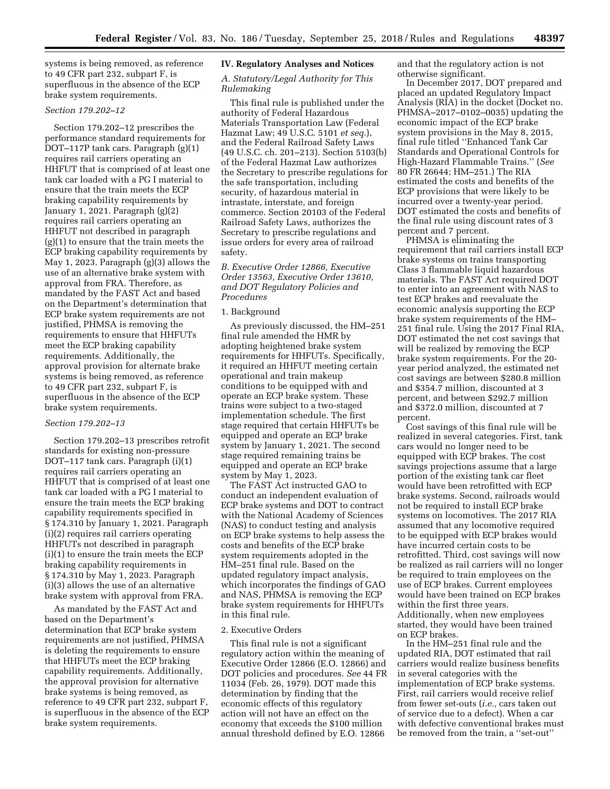systems is being removed, as reference to 49 CFR part 232, subpart F, is superfluous in the absence of the ECP brake system requirements.

### *Section 179.202–12*

Section 179.202–12 prescribes the performance standard requirements for DOT–117P tank cars. Paragraph (g)(1) requires rail carriers operating an HHFUT that is comprised of at least one tank car loaded with a PG I material to ensure that the train meets the ECP braking capability requirements by January 1, 2021. Paragraph (g)(2) requires rail carriers operating an HHFUT not described in paragraph (g)(1) to ensure that the train meets the ECP braking capability requirements by May 1, 2023. Paragraph (g)(3) allows the use of an alternative brake system with approval from FRA. Therefore, as mandated by the FAST Act and based on the Department's determination that ECP brake system requirements are not justified, PHMSA is removing the requirements to ensure that HHFUTs meet the ECP braking capability requirements. Additionally, the approval provision for alternate brake systems is being removed, as reference to 49 CFR part 232, subpart F, is superfluous in the absence of the ECP brake system requirements.

### *Section 179.202–13*

Section 179.202–13 prescribes retrofit standards for existing non-pressure DOT–117 tank cars. Paragraph (i)(1) requires rail carriers operating an HHFUT that is comprised of at least one tank car loaded with a PG I material to ensure the train meets the ECP braking capability requirements specified in § 174.310 by January 1, 2021. Paragraph (i)(2) requires rail carriers operating HHFUTs not described in paragraph (i)(1) to ensure the train meets the ECP braking capability requirements in § 174.310 by May 1, 2023. Paragraph (i)(3) allows the use of an alternative brake system with approval from FRA.

As mandated by the FAST Act and based on the Department's determination that ECP brake system requirements are not justified, PHMSA is deleting the requirements to ensure that HHFUTs meet the ECP braking capability requirements. Additionally, the approval provision for alternative brake systems is being removed, as reference to 49 CFR part 232, subpart F, is superfluous in the absence of the ECP brake system requirements.

### **IV. Regulatory Analyses and Notices**

### *A. Statutory/Legal Authority for This Rulemaking*

This final rule is published under the authority of Federal Hazardous Materials Transportation Law (Federal Hazmat Law; 49 U.S.C. 5101 *et seq.*), and the Federal Railroad Safety Laws (49 U.S.C. ch. 201–213). Section 5103(b) of the Federal Hazmat Law authorizes the Secretary to prescribe regulations for the safe transportation, including security, of hazardous material in intrastate, interstate, and foreign commerce. Section 20103 of the Federal Railroad Safety Laws, authorizes the Secretary to prescribe regulations and issue orders for every area of railroad safety.

*B. Executive Order 12866, Executive Order 13563, Executive Order 13610, and DOT Regulatory Policies and Procedures* 

### 1. Background

As previously discussed, the HM–251 final rule amended the HMR by adopting heightened brake system requirements for HHFUTs. Specifically, it required an HHFUT meeting certain operational and train makeup conditions to be equipped with and operate an ECP brake system. These trains were subject to a two-staged implementation schedule. The first stage required that certain HHFUTs be equipped and operate an ECP brake system by January 1, 2021. The second stage required remaining trains be equipped and operate an ECP brake system by May 1, 2023.

The FAST Act instructed GAO to conduct an independent evaluation of ECP brake systems and DOT to contract with the National Academy of Sciences (NAS) to conduct testing and analysis on ECP brake systems to help assess the costs and benefits of the ECP brake system requirements adopted in the HM–251 final rule. Based on the updated regulatory impact analysis, which incorporates the findings of GAO and NAS, PHMSA is removing the ECP brake system requirements for HHFUTs in this final rule.

### 2. Executive Orders

This final rule is not a significant regulatory action within the meaning of Executive Order 12866 (E.O. 12866) and DOT policies and procedures. *See* 44 FR 11034 (Feb. 26, 1979). DOT made this determination by finding that the economic effects of this regulatory action will not have an effect on the economy that exceeds the \$100 million annual threshold defined by E.O. 12866

and that the regulatory action is not otherwise significant.

In December 2017, DOT prepared and placed an updated Regulatory Impact Analysis (RIA) in the docket (Docket no. PHMSA–2017–0102–0035) updating the economic impact of the ECP brake system provisions in the May 8, 2015, final rule titled ''Enhanced Tank Car Standards and Operational Controls for High-Hazard Flammable Trains.'' (*See*  80 FR 26644; HM–251.) The RIA estimated the costs and benefits of the ECP provisions that were likely to be incurred over a twenty-year period. DOT estimated the costs and benefits of the final rule using discount rates of 3 percent and 7 percent.

PHMSA is eliminating the requirement that rail carriers install ECP brake systems on trains transporting Class 3 flammable liquid hazardous materials. The FAST Act required DOT to enter into an agreement with NAS to test ECP brakes and reevaluate the economic analysis supporting the ECP brake system requirements of the HM– 251 final rule. Using the 2017 Final RIA, DOT estimated the net cost savings that will be realized by removing the ECP brake system requirements. For the 20 year period analyzed, the estimated net cost savings are between \$280.8 million and \$354.7 million, discounted at 3 percent, and between \$292.7 million and \$372.0 million, discounted at 7 percent.

Cost savings of this final rule will be realized in several categories. First, tank cars would no longer need to be equipped with ECP brakes. The cost savings projections assume that a large portion of the existing tank car fleet would have been retrofitted with ECP brake systems. Second, railroads would not be required to install ECP brake systems on locomotives. The 2017 RIA assumed that any locomotive required to be equipped with ECP brakes would have incurred certain costs to be retrofitted. Third, cost savings will now be realized as rail carriers will no longer be required to train employees on the use of ECP brakes. Current employees would have been trained on ECP brakes within the first three years. Additionally, when new employees started, they would have been trained on ECP brakes.

In the HM–251 final rule and the updated RIA, DOT estimated that rail carriers would realize business benefits in several categories with the implementation of ECP brake systems. First, rail carriers would receive relief from fewer set-outs (*i.e.,* cars taken out of service due to a defect). When a car with defective conventional brakes must be removed from the train, a ''set-out''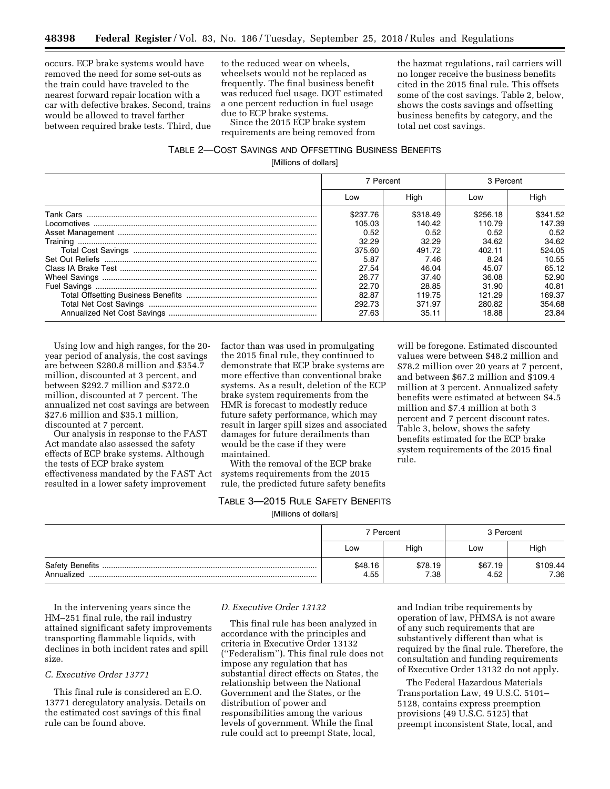occurs. ECP brake systems would have removed the need for some set-outs as the train could have traveled to the nearest forward repair location with a car with defective brakes. Second, trains would be allowed to travel farther between required brake tests. Third, due to the reduced wear on wheels, wheelsets would not be replaced as frequently. The final business benefit was reduced fuel usage. DOT estimated a one percent reduction in fuel usage due to ECP brake systems.

Since the 2015 ECP brake system requirements are being removed from

the hazmat regulations, rail carriers will no longer receive the business benefits cited in the 2015 final rule. This offsets some of the cost savings. Table 2, below, shows the costs savings and offsetting business benefits by category, and the total net cost savings.

will be foregone. Estimated discounted values were between \$48.2 million and \$78.2 million over 20 years at 7 percent, and between \$67.2 million and \$109.4 million at 3 percent. Annualized safety benefits were estimated at between \$4.5 million and \$7.4 million at both 3 percent and 7 percent discount rates. Table 3, below, shows the safety benefits estimated for the ECP brake system requirements of the 2015 final

rule.

## TABLE 2—COST SAVINGS AND OFFSETTING BUSINESS BENEFITS

[Millions of dollars]

|                  | 7 Percent |          | 3 Percent |          |
|------------------|-----------|----------|-----------|----------|
|                  | Low       | High     | Low       | High     |
| <b>Tank Cars</b> | \$237.76  | \$318.49 | \$256.18  | \$341.52 |
|                  | 105.03    | 140.42   | 110.79    | 147.39   |
|                  | 0.52      | 0.52     | 0.52      | 0.52     |
|                  | 32.29     | 32.29    | 34.62     | 34.62    |
|                  | 375.60    | 491.72   | 402.11    | 524.05   |
|                  | 5.87      | 7.46     | 8.24      | 10.55    |
|                  | 27.54     | 46.04    | 45.07     | 65.12    |
|                  | 26.77     | 37.40    | 36.08     | 52.90    |
|                  | 22.70     | 28.85    | 31.90     | 40.81    |
|                  | 82.87     | 119.75   | 121.29    | 169.37   |
|                  | 292.73    | 371.97   | 280.82    | 354.68   |
|                  | 27.63     | 35.11    | 18.88     | 23.84    |

Using low and high ranges, for the 20 year period of analysis, the cost savings are between \$280.8 million and \$354.7 million, discounted at 3 percent, and between \$292.7 million and \$372.0 million, discounted at 7 percent. The annualized net cost savings are between \$27.6 million and \$35.1 million, discounted at 7 percent.

Our analysis in response to the FAST Act mandate also assessed the safety effects of ECP brake systems. Although the tests of ECP brake system effectiveness mandated by the FAST Act resulted in a lower safety improvement

factor than was used in promulgating the 2015 final rule, they continued to demonstrate that ECP brake systems are more effective than conventional brake systems. As a result, deletion of the ECP brake system requirements from the HMR is forecast to modestly reduce future safety performance, which may result in larger spill sizes and associated damages for future derailments than would be the case if they were maintained.

With the removal of the ECP brake systems requirements from the 2015 rule, the predicted future safety benefits

### TABLE 3—2015 RULE SAFETY BENEFITS

[Millions of dollars]

|            | 7 Percent       |                 | 3 Percent       |                  |
|------------|-----------------|-----------------|-----------------|------------------|
|            | Low             | High            | Low             | High             |
| Annualized | \$48.16<br>4.55 | \$78.19<br>7.38 | \$67.19<br>4.52 | \$109.44<br>7.36 |

In the intervening years since the HM–251 final rule, the rail industry attained significant safety improvements transporting flammable liquids, with declines in both incident rates and spill size.

### *C. Executive Order 13771*

This final rule is considered an E.O. 13771 deregulatory analysis. Details on the estimated cost savings of this final rule can be found above.

### *D. Executive Order 13132*

This final rule has been analyzed in accordance with the principles and criteria in Executive Order 13132 (''Federalism''). This final rule does not impose any regulation that has substantial direct effects on States, the relationship between the National Government and the States, or the distribution of power and responsibilities among the various levels of government. While the final rule could act to preempt State, local,

and Indian tribe requirements by operation of law, PHMSA is not aware of any such requirements that are substantively different than what is required by the final rule. Therefore, the consultation and funding requirements of Executive Order 13132 do not apply.

The Federal Hazardous Materials Transportation Law, 49 U.S.C. 5101– 5128, contains express preemption provisions (49 U.S.C. 5125) that preempt inconsistent State, local, and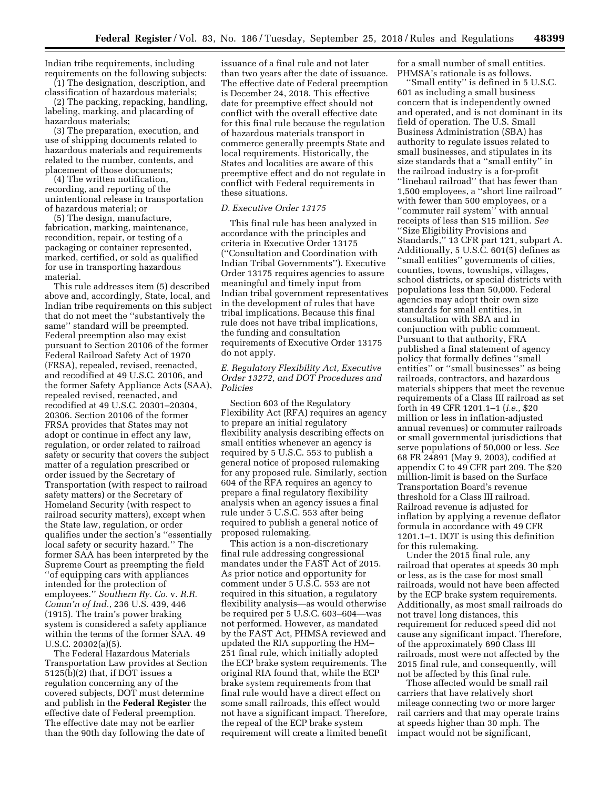Indian tribe requirements, including requirements on the following subjects:

(1) The designation, description, and classification of hazardous materials; (2) The packing, repacking, handling, labeling, marking, and placarding of

hazardous materials; (3) The preparation, execution, and use of shipping documents related to hazardous materials and requirements related to the number, contents, and placement of those documents;

(4) The written notification, recording, and reporting of the unintentional release in transportation of hazardous material; or

(5) The design, manufacture, fabrication, marking, maintenance, recondition, repair, or testing of a packaging or container represented, marked, certified, or sold as qualified for use in transporting hazardous material.

This rule addresses item (5) described above and, accordingly, State, local, and Indian tribe requirements on this subject that do not meet the ''substantively the same'' standard will be preempted. Federal preemption also may exist pursuant to Section 20106 of the former Federal Railroad Safety Act of 1970 (FRSA), repealed, revised, reenacted, and recodified at 49 U.S.C. 20106, and the former Safety Appliance Acts (SAA), repealed revised, reenacted, and recodified at 49 U.S.C. 20301–20304, 20306. Section 20106 of the former FRSA provides that States may not adopt or continue in effect any law, regulation, or order related to railroad safety or security that covers the subject matter of a regulation prescribed or order issued by the Secretary of Transportation (with respect to railroad safety matters) or the Secretary of Homeland Security (with respect to railroad security matters), except when the State law, regulation, or order qualifies under the section's ''essentially local safety or security hazard.'' The former SAA has been interpreted by the Supreme Court as preempting the field ''of equipping cars with appliances intended for the protection of employees.'' *Southern Ry. Co.* v. *R.R. Comm'n of Ind.*, 236 U.S. 439, 446 (1915). The train's power braking system is considered a safety appliance within the terms of the former SAA. 49 U.S.C. 20302(a)(5).

The Federal Hazardous Materials Transportation Law provides at Section 5125(b)(2) that, if DOT issues a regulation concerning any of the covered subjects, DOT must determine and publish in the **Federal Register** the effective date of Federal preemption. The effective date may not be earlier than the 90th day following the date of

issuance of a final rule and not later than two years after the date of issuance. The effective date of Federal preemption is December 24, 2018. This effective date for preemptive effect should not conflict with the overall effective date for this final rule because the regulation of hazardous materials transport in commerce generally preempts State and local requirements. Historically, the States and localities are aware of this preemptive effect and do not regulate in conflict with Federal requirements in these situations.

### *D. Executive Order 13175*

This final rule has been analyzed in accordance with the principles and criteria in Executive Order 13175 (''Consultation and Coordination with Indian Tribal Governments''). Executive Order 13175 requires agencies to assure meaningful and timely input from Indian tribal government representatives in the development of rules that have tribal implications. Because this final rule does not have tribal implications, the funding and consultation requirements of Executive Order 13175 do not apply.

### *E. Regulatory Flexibility Act, Executive Order 13272, and DOT Procedures and Policies*

Section 603 of the Regulatory Flexibility Act (RFA) requires an agency to prepare an initial regulatory flexibility analysis describing effects on small entities whenever an agency is required by 5 U.S.C. 553 to publish a general notice of proposed rulemaking for any proposed rule. Similarly, section 604 of the RFA requires an agency to prepare a final regulatory flexibility analysis when an agency issues a final rule under 5 U.S.C. 553 after being required to publish a general notice of proposed rulemaking.

This action is a non-discretionary final rule addressing congressional mandates under the FAST Act of 2015. As prior notice and opportunity for comment under 5 U.S.C. 553 are not required in this situation, a regulatory flexibility analysis—as would otherwise be required per 5 U.S.C. 603–604—was not performed. However, as mandated by the FAST Act, PHMSA reviewed and updated the RIA supporting the HM– 251 final rule, which initially adopted the ECP brake system requirements. The original RIA found that, while the ECP brake system requirements from that final rule would have a direct effect on some small railroads, this effect would not have a significant impact. Therefore, the repeal of the ECP brake system requirement will create a limited benefit

for a small number of small entities. PHMSA's rationale is as follows.

''Small entity'' is defined in 5 U.S.C. 601 as including a small business concern that is independently owned and operated, and is not dominant in its field of operation. The U.S. Small Business Administration (SBA) has authority to regulate issues related to small businesses, and stipulates in its size standards that a ''small entity'' in the railroad industry is a for-profit ''linehaul railroad'' that has fewer than 1,500 employees, a ''short line railroad'' with fewer than 500 employees, or a ''commuter rail system'' with annual receipts of less than \$15 million. *See*  ''Size Eligibility Provisions and Standards,'' 13 CFR part 121, subpart A. Additionally, 5 U.S.C. 601(5) defines as ''small entities'' governments of cities, counties, towns, townships, villages, school districts, or special districts with populations less than 50,000. Federal agencies may adopt their own size standards for small entities, in consultation with SBA and in conjunction with public comment. Pursuant to that authority, FRA published a final statement of agency policy that formally defines ''small entities'' or ''small businesses'' as being railroads, contractors, and hazardous materials shippers that meet the revenue requirements of a Class III railroad as set forth in 49 CFR 1201.1–1 (*i.e.,* \$20 million or less in inflation-adjusted annual revenues) or commuter railroads or small governmental jurisdictions that serve populations of 50,000 or less. *See*  68 FR 24891 (May 9, 2003), codified at appendix C to 49 CFR part 209. The \$20 million-limit is based on the Surface Transportation Board's revenue threshold for a Class III railroad. Railroad revenue is adjusted for inflation by applying a revenue deflator formula in accordance with 49 CFR 1201.1–1. DOT is using this definition for this rulemaking.

Under the 2015 final rule, any railroad that operates at speeds 30 mph or less, as is the case for most small railroads, would not have been affected by the ECP brake system requirements. Additionally, as most small railroads do not travel long distances, this requirement for reduced speed did not cause any significant impact. Therefore, of the approximately 690 Class III railroads, most were not affected by the 2015 final rule, and consequently, will not be affected by this final rule.

Those affected would be small rail carriers that have relatively short mileage connecting two or more larger rail carriers and that may operate trains at speeds higher than 30 mph. The impact would not be significant,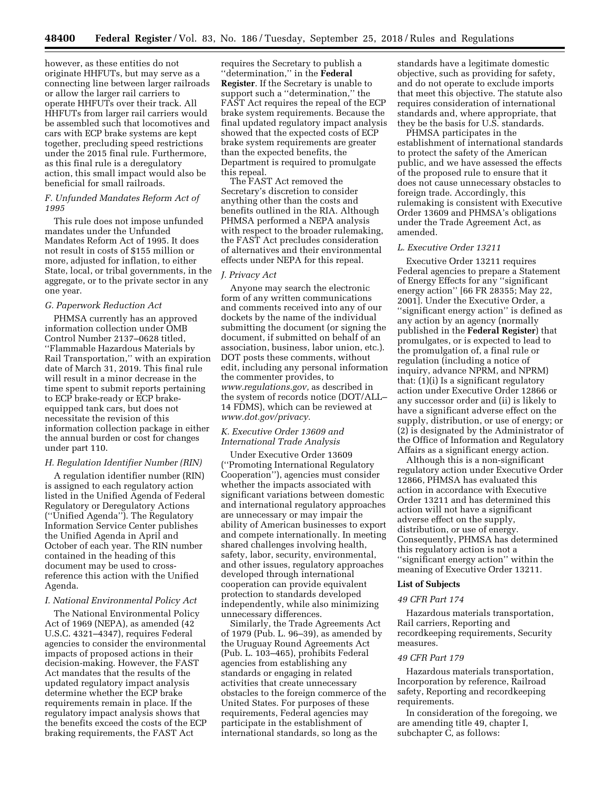however, as these entities do not originate HHFUTs, but may serve as a connecting line between larger railroads or allow the larger rail carriers to operate HHFUTs over their track. All HHFUTs from larger rail carriers would be assembled such that locomotives and cars with ECP brake systems are kept together, precluding speed restrictions under the 2015 final rule. Furthermore, as this final rule is a deregulatory action, this small impact would also be beneficial for small railroads.

### *F. Unfunded Mandates Reform Act of 1995*

This rule does not impose unfunded mandates under the Unfunded Mandates Reform Act of 1995. It does not result in costs of \$155 million or more, adjusted for inflation, to either State, local, or tribal governments, in the aggregate, or to the private sector in any one year.

### *G. Paperwork Reduction Act*

PHMSA currently has an approved information collection under OMB Control Number 2137–0628 titled, ''Flammable Hazardous Materials by Rail Transportation,'' with an expiration date of March 31, 2019. This final rule will result in a minor decrease in the time spent to submit reports pertaining to ECP brake-ready or ECP brakeequipped tank cars, but does not necessitate the revision of this information collection package in either the annual burden or cost for changes under part 110.

### *H. Regulation Identifier Number (RIN)*

A regulation identifier number (RIN) is assigned to each regulatory action listed in the Unified Agenda of Federal Regulatory or Deregulatory Actions (''Unified Agenda''). The Regulatory Information Service Center publishes the Unified Agenda in April and October of each year. The RIN number contained in the heading of this document may be used to crossreference this action with the Unified Agenda.

### *I. National Environmental Policy Act*

The National Environmental Policy Act of 1969 (NEPA), as amended (42 U.S.C. 4321–4347), requires Federal agencies to consider the environmental impacts of proposed actions in their decision-making. However, the FAST Act mandates that the results of the updated regulatory impact analysis determine whether the ECP brake requirements remain in place. If the regulatory impact analysis shows that the benefits exceed the costs of the ECP braking requirements, the FAST Act

requires the Secretary to publish a ''determination,'' in the **Federal Register**. If the Secretary is unable to support such a ''determination,'' the FAST Act requires the repeal of the ECP brake system requirements. Because the final updated regulatory impact analysis showed that the expected costs of ECP brake system requirements are greater than the expected benefits, the Department is required to promulgate this repeal.

The FAST Act removed the Secretary's discretion to consider anything other than the costs and benefits outlined in the RIA. Although PHMSA performed a NEPA analysis with respect to the broader rulemaking, the FAST Act precludes consideration of alternatives and their environmental effects under NEPA for this repeal.

### *J. Privacy Act*

Anyone may search the electronic form of any written communications and comments received into any of our dockets by the name of the individual submitting the document (or signing the document, if submitted on behalf of an association, business, labor union, etc.). DOT posts these comments, without edit, including any personal information the commenter provides, to *[www.regulations.gov,](http://www.regulations.gov)* as described in the system of records notice (DOT/ALL– 14 FDMS), which can be reviewed at *[www.dot.gov/privacy.](http://www.dot.gov/privacy)* 

### *K. Executive Order 13609 and International Trade Analysis*

Under Executive Order 13609 (''Promoting International Regulatory Cooperation''), agencies must consider whether the impacts associated with significant variations between domestic and international regulatory approaches are unnecessary or may impair the ability of American businesses to export and compete internationally. In meeting shared challenges involving health, safety, labor, security, environmental, and other issues, regulatory approaches developed through international cooperation can provide equivalent protection to standards developed independently, while also minimizing unnecessary differences.

Similarly, the Trade Agreements Act of 1979 (Pub. L. 96–39), as amended by the Uruguay Round Agreements Act (Pub. L. 103–465), prohibits Federal agencies from establishing any standards or engaging in related activities that create unnecessary obstacles to the foreign commerce of the United States. For purposes of these requirements, Federal agencies may participate in the establishment of international standards, so long as the

standards have a legitimate domestic objective, such as providing for safety, and do not operate to exclude imports that meet this objective. The statute also requires consideration of international standards and, where appropriate, that they be the basis for U.S. standards.

PHMSA participates in the establishment of international standards to protect the safety of the American public, and we have assessed the effects of the proposed rule to ensure that it does not cause unnecessary obstacles to foreign trade. Accordingly, this rulemaking is consistent with Executive Order 13609 and PHMSA's obligations under the Trade Agreement Act, as amended.

### *L. Executive Order 13211*

Executive Order 13211 requires Federal agencies to prepare a Statement of Energy Effects for any ''significant energy action'' [66 FR 28355; May 22, 2001]. Under the Executive Order, a "significant energy action" is defined as any action by an agency (normally published in the **Federal Register**) that promulgates, or is expected to lead to the promulgation of, a final rule or regulation (including a notice of inquiry, advance NPRM, and NPRM) that: (1)(i) Is a significant regulatory action under Executive Order 12866 or any successor order and (ii) is likely to have a significant adverse effect on the supply, distribution, or use of energy; or (2) is designated by the Administrator of the Office of Information and Regulatory Affairs as a significant energy action.

Although this is a non-significant regulatory action under Executive Order 12866, PHMSA has evaluated this action in accordance with Executive Order 13211 and has determined this action will not have a significant adverse effect on the supply, distribution, or use of energy. Consequently, PHMSA has determined this regulatory action is not a ''significant energy action'' within the meaning of Executive Order 13211.

### **List of Subjects**

### *49 CFR Part 174*

Hazardous materials transportation, Rail carriers, Reporting and recordkeeping requirements, Security measures.

### *49 CFR Part 179*

Hazardous materials transportation, Incorporation by reference, Railroad safety, Reporting and recordkeeping requirements.

In consideration of the foregoing, we are amending title 49, chapter I, subchapter C, as follows: